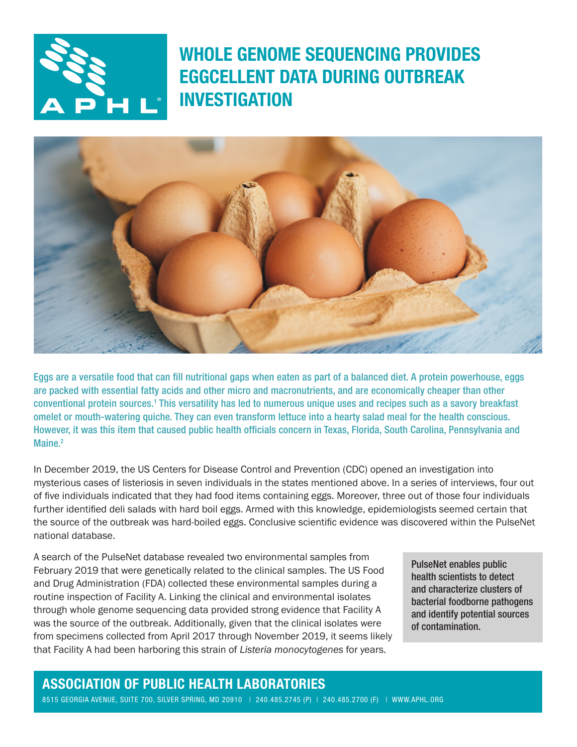

WHOLE GENOME SEQUENCING PROVIDES EGGCELLENT DATA DURING OUTBREAK INVESTIGATION



Eggs are a versatile food that can fill nutritional gaps when eaten as part of a balanced diet. A protein powerhouse, eggs are packed with essential fatty acids and other micro and macronutrients, and are economically cheaper than other conventional protein sources.<sup>1</sup> This versatility has led to numerous unique uses and recipes such as a savory breakfast omelet or mouth-watering quiche. They can even transform lettuce into a hearty salad meal for the health conscious. However, it was this item that caused public health officials concern in Texas, Florida, South Carolina, Pennsylvania and Maine.<sup>2</sup>

In December 2019, the US Centers for Disease Control and Prevention (CDC) opened an investigation into mysterious cases of listeriosis in seven individuals in the states mentioned above. In a series of interviews, four out of five individuals indicated that they had food items containing eggs. Moreover, three out of those four individuals further identified deli salads with hard boil eggs. Armed with this knowledge, epidemiologists seemed certain that the source of the outbreak was hard-boiled eggs. Conclusive scientific evidence was discovered within the PulseNet national database.

A search of the PulseNet database revealed two environmental samples from February 2019 that were genetically related to the clinical samples. The US Food and Drug Administration (FDA) collected these environmental samples during a routine inspection of Facility A. Linking the clinical and environmental isolates through whole genome sequencing data provided strong evidence that Facility A was the source of the outbreak. Additionally, given that the clinical isolates were from specimens collected from April 2017 through November 2019, it seems likely that Facility A had been harboring this strain of *Listeria monocytogenes* for years.

PulseNet enables public health scientists to detect and characterize clusters of bacterial foodborne pathogens and identify potential sources of contamination.

## ASSOCIATION OF PUBLIC HEALTH LABORATORIES

8515 GEORGIA AVENUE, SUITE 700, SILVER SPRING, MD 20910 | 240.485.2745 (P) | 240.485.2700 (F) | [WWW.APHL.ORG](http://www.aphl.org)